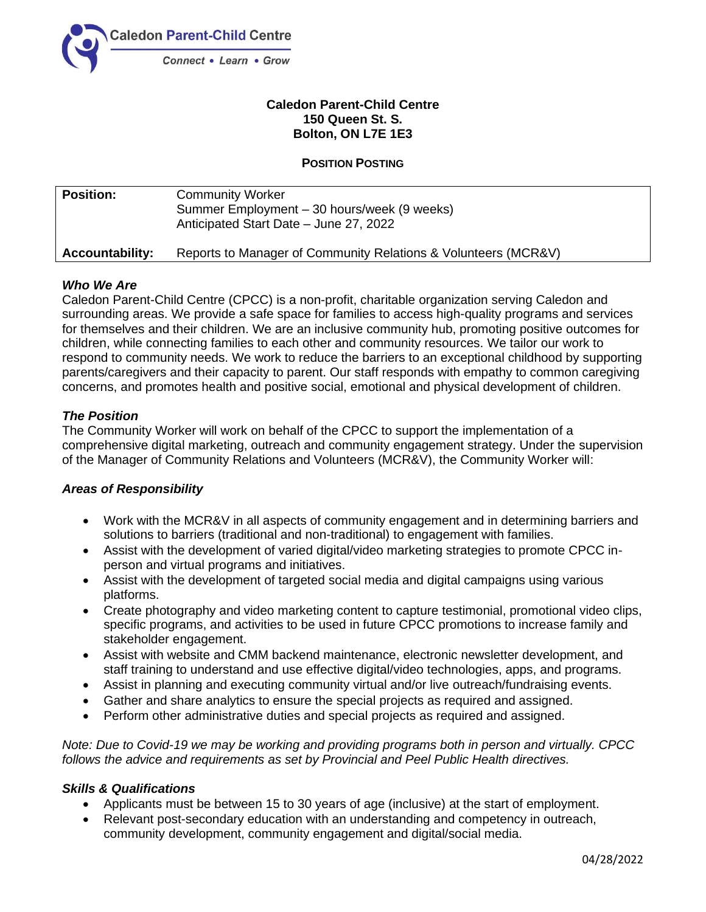**Caledon Parent-Child Centre** Connect • Learn • Grow

# **Caledon Parent-Child Centre 150 Queen St. S. Bolton, ON L7E 1E3**

### **POSITION POSTING**

| <b>Position:</b>       | <b>Community Worker</b><br>Summer Employment – 30 hours/week (9 weeks)<br>Anticipated Start Date - June 27, 2022 |
|------------------------|------------------------------------------------------------------------------------------------------------------|
| <b>Accountability:</b> | Reports to Manager of Community Relations & Volunteers (MCR&V)                                                   |

# *Who We Are*

Caledon Parent-Child Centre (CPCC) is a non-profit, charitable organization serving Caledon and surrounding areas. We provide a safe space for families to access high-quality programs and services for themselves and their children. We are an inclusive community hub, promoting positive outcomes for children, while connecting families to each other and community resources. We tailor our work to respond to community needs. We work to reduce the barriers to an exceptional childhood by supporting parents/caregivers and their capacity to parent. Our staff responds with empathy to common caregiving concerns, and promotes health and positive social, emotional and physical development of children.

# *The Position*

The Community Worker will work on behalf of the CPCC to support the implementation of a comprehensive digital marketing, outreach and community engagement strategy. Under the supervision of the Manager of Community Relations and Volunteers (MCR&V), the Community Worker will:

# *Areas of Responsibility*

- Work with the MCR&V in all aspects of community engagement and in determining barriers and solutions to barriers (traditional and non-traditional) to engagement with families.
- Assist with the development of varied digital/video marketing strategies to promote CPCC inperson and virtual programs and initiatives.
- Assist with the development of targeted social media and digital campaigns using various platforms.
- Create photography and video marketing content to capture testimonial, promotional video clips, specific programs, and activities to be used in future CPCC promotions to increase family and stakeholder engagement.
- Assist with website and CMM backend maintenance, electronic newsletter development, and staff training to understand and use effective digital/video technologies, apps, and programs.
- Assist in planning and executing community virtual and/or live outreach/fundraising events.
- Gather and share analytics to ensure the special projects as required and assigned.
- Perform other administrative duties and special projects as required and assigned.

*Note: Due to Covid-19 we may be working and providing programs both in person and virtually. CPCC follows the advice and requirements as set by Provincial and Peel Public Health directives.*

### *Skills & Qualifications*

- Applicants must be between 15 to 30 years of age (inclusive) at the start of employment.
- Relevant post-secondary education with an understanding and competency in outreach, community development, community engagement and digital/social media.